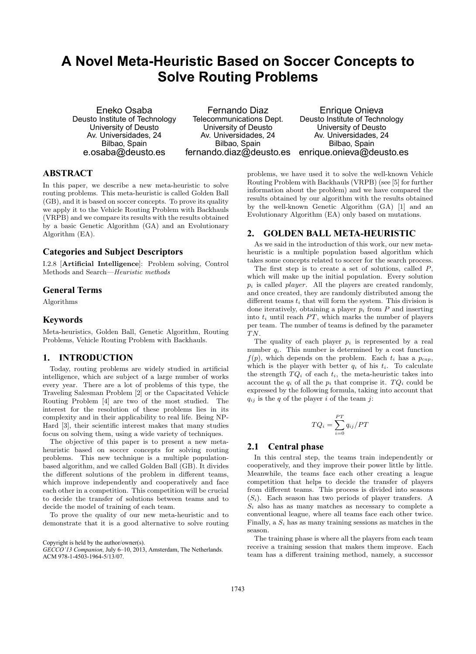# **A Novel Meta-Heuristic Based on Soccer Concepts to Solve Routing Problems**

Eneko Osaba Deusto Institute of Technology University of Deusto Av. Universidades, 24 Bilbao, Spain e.osaba@deusto.es

Fernando Diaz Telecommunications Dept. University of Deusto Av. Universidades, 24 Bilbao, Spain fernando.diaz@deusto.es

Enrique Onieva Deusto Institute of Technology University of Deusto Av. Universidades, 24 Bilbao, Spain enrique.onieva@deusto.es

## **ABSTRACT**

In this paper, we describe a new meta-heuristic to solve routing problems. This meta-heuristic is called Golden Ball (GB), and it is based on soccer concepts. To prove its quality we apply it to the Vehicle Routing Problem with Backhauls (VRPB) and we compare its results with the results obtained by a basic Genetic Algorithm (GA) and an Evolutionary Algorithm (EA).

## **Categories and Subject Descriptors**

I.2.8 [Artificial Intelligence]: Problem solving, Control Methods and Search—*Heuristic methods*

## **General Terms**

Algorithms

## **Keywords**

Meta-heuristics, Golden Ball, Genetic Algorithm, Routing Problems, Vehicle Routing Problem with Backhauls.

## **1. INTRODUCTION**

Today, routing problems are widely studied in artificial intelligence, which are subject of a large number of works every year. There are a lot of problems of this type, the Traveling Salesman Problem [2] or the Capacitated Vehicle Routing Problem [4] are two of the most studied. The interest for the resolution of these problems lies in its complexity and in their applicability to real life. Being NP-Hard [3], their scientific interest makes that many studies focus on solving them, using a wide variety of techniques.

The objective of this paper is to present a new metaheuristic based on soccer concepts for solving routing problems. This new technique is a multiple populationbased algorithm, and we called Golden Ball (GB). It divides the different solutions of the problem in different teams, which improve independently and cooperatively and face each other in a competition. This competition will be crucial to decide the transfer of solutions between teams and to decide the model of training of each team.

To prove the quality of our new meta-heuristic and to demonstrate that it is a good alternative to solve routing

Copyright is held by the author/owner(s).

problems, we have used it to solve the well-known Vehicle Routing Problem with Backhauls (VRPB) (see [5] for further information about the problem) and we have compared the results obtained by our algorithm with the results obtained by the well-known Genetic Algorithm (GA) [1] and an Evolutionary Algorithm (EA) only based on mutations.

### **2. GOLDEN BALL META-HEURISTIC**

As we said in the introduction of this work, our new metaheuristic is a multiple population based algorithm which takes some concepts related to soccer for the search process.

The first step is to create a set of solutions, called P, which will make up the initial population. Every solution  $p_i$  is called *player*. All the players are created randomly, and once created, they are randomly distributed among the different teams  $t_i$  that will form the system. This division is done iteratively, obtaining a player  $p_i$  from  $P$  and inserting into  $t_i$  until reach  $PT$ , which marks the number of players per team. The number of teams is defined by the parameter  $TN$ .

The quality of each player  $p_i$  is represented by a real number  $q_i$ . This number is determined by a cost function  $f(p)$ , which depends on the problem. Each  $t_i$  has a  $p_{cap}$ , which is the player with better  $q_i$  of his  $t_i$ . To calculate the strength  $TQ_i$  of each  $t_i$ , the meta-heuristic takes into account the  $q_i$  of all the  $p_i$  that comprise it.  $TQ_i$  could be expressed by the following formula, taking into account that  $q_{ij}$  is the q of the player i of the team j:

$$
TQ_i = \sum_{i=0}^{PT} q_{ij} / PT
$$

#### **2.1 Central phase**

In this central step, the teams train independently or cooperatively, and they improve their power little by little. Meanwhile, the teams face each other creating a league competition that helps to decide the transfer of players from different teams. This process is divided into seasons  $(S_i)$ . Each season has two periods of player transfers. A  $S_i$  also has as many matches as necessary to complete a conventional league, where all teams face each other twice. Finally, a  $S_i$  has as many training sessions as matches in the season.

The training phase is where all the players from each team receive a training session that makes them improve. Each team has a different training method, namely, a successor

*GECCO'13 Companion,* July 6–10, 2013, Amsterdam, The Netherlands. ACM 978-1-4503-1964-5/13/07.